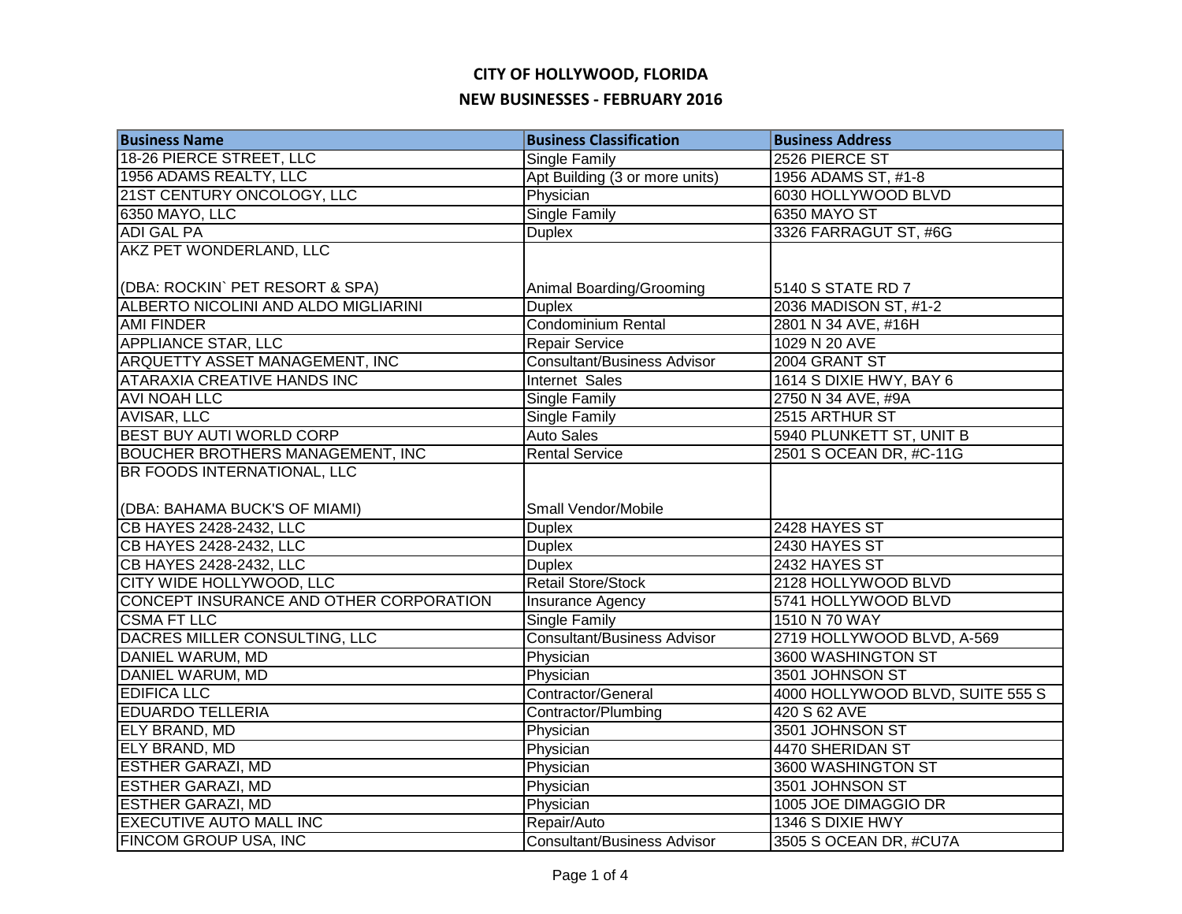| <b>Business Name</b>                                         | <b>Business Classification</b>     | <b>Business Address</b>          |
|--------------------------------------------------------------|------------------------------------|----------------------------------|
| 18-26 PIERCE STREET, LLC                                     | Single Family                      | 2526 PIERCE ST                   |
| 1956 ADAMS REALTY, LLC                                       | Apt Building (3 or more units)     | 1956 ADAMS ST, #1-8              |
| 21ST CENTURY ONCOLOGY, LLC                                   | Physician                          | 6030 HOLLYWOOD BLVD              |
| 6350 MAYO, LLC                                               | <b>Single Family</b>               | 6350 MAYO ST                     |
| <b>ADI GAL PA</b>                                            | <b>Duplex</b>                      | 3326 FARRAGUT ST, #6G            |
| AKZ PET WONDERLAND, LLC                                      |                                    |                                  |
| (DBA: ROCKIN` PET RESORT & SPA)                              | Animal Boarding/Grooming           | 5140 S STATE RD 7                |
| ALBERTO NICOLINI AND ALDO MIGLIARINI                         | <b>Duplex</b>                      | 2036 MADISON ST, #1-2            |
| <b>AMI FINDER</b>                                            | <b>Condominium Rental</b>          | 2801 N 34 AVE, #16H              |
| <b>APPLIANCE STAR, LLC</b>                                   | Repair Service                     | 1029 N 20 AVE                    |
| ARQUETTY ASSET MANAGEMENT, INC                               | <b>Consultant/Business Advisor</b> | 2004 GRANT ST                    |
| ATARAXIA CREATIVE HANDS INC                                  | Internet Sales                     | 1614 S DIXIE HWY, BAY 6          |
| AVI NOAH LLC                                                 | Single Family                      | 2750 N 34 AVE, #9A               |
| AVISAR, LLC                                                  | Single Family                      | 2515 ARTHUR ST                   |
| BEST BUY AUTI WORLD CORP                                     | <b>Auto Sales</b>                  | 5940 PLUNKETT ST, UNIT B         |
| BOUCHER BROTHERS MANAGEMENT, INC                             | <b>Rental Service</b>              | 2501 S OCEAN DR, #C-11G          |
| BR FOODS INTERNATIONAL, LLC<br>(DBA: BAHAMA BUCK'S OF MIAMI) | Small Vendor/Mobile                |                                  |
| CB HAYES 2428-2432, LLC                                      | <b>Duplex</b>                      | 2428 HAYES ST                    |
| CB HAYES 2428-2432, LLC                                      | <b>Duplex</b>                      | 2430 HAYES ST                    |
| CB HAYES 2428-2432, LLC                                      | <b>Duplex</b>                      | 2432 HAYES ST                    |
| CITY WIDE HOLLYWOOD, LLC                                     | <b>Retail Store/Stock</b>          | 2128 HOLLYWOOD BLVD              |
| CONCEPT INSURANCE AND OTHER CORPORATION                      | Insurance Agency                   | 5741 HOLLYWOOD BLVD              |
| <b>CSMA FT LLC</b>                                           | <b>Single Family</b>               | 1510 N 70 WAY                    |
| DACRES MILLER CONSULTING, LLC                                | <b>Consultant/Business Advisor</b> | 2719 HOLLYWOOD BLVD, A-569       |
| <b>DANIEL WARUM, MD</b>                                      | Physician                          | 3600 WASHINGTON ST               |
| DANIEL WARUM, MD                                             | Physician                          | 3501 JOHNSON ST                  |
| <b>EDIFICA LLC</b>                                           | Contractor/General                 | 4000 HOLLYWOOD BLVD, SUITE 555 S |
| <b>EDUARDO TELLERIA</b>                                      | Contractor/Plumbing                | 420 S 62 AVE                     |
| ELY BRAND, MD                                                | Physician                          | 3501 JOHNSON ST                  |
| <b>ELY BRAND, MD</b>                                         | Physician                          | 4470 SHERIDAN ST                 |
| <b>ESTHER GARAZI, MD</b>                                     | Physician                          | 3600 WASHINGTON ST               |
| <b>ESTHER GARAZI, MD</b>                                     | Physician                          | 3501 JOHNSON ST                  |
| <b>ESTHER GARAZI, MD</b>                                     | Physician                          | 1005 JOE DIMAGGIO DR             |
| <b>EXECUTIVE AUTO MALL INC</b>                               | Repair/Auto                        | 1346 S DIXIE HWY                 |
| <b>FINCOM GROUP USA, INC</b>                                 | <b>Consultant/Business Advisor</b> | 3505 S OCEAN DR, #CU7A           |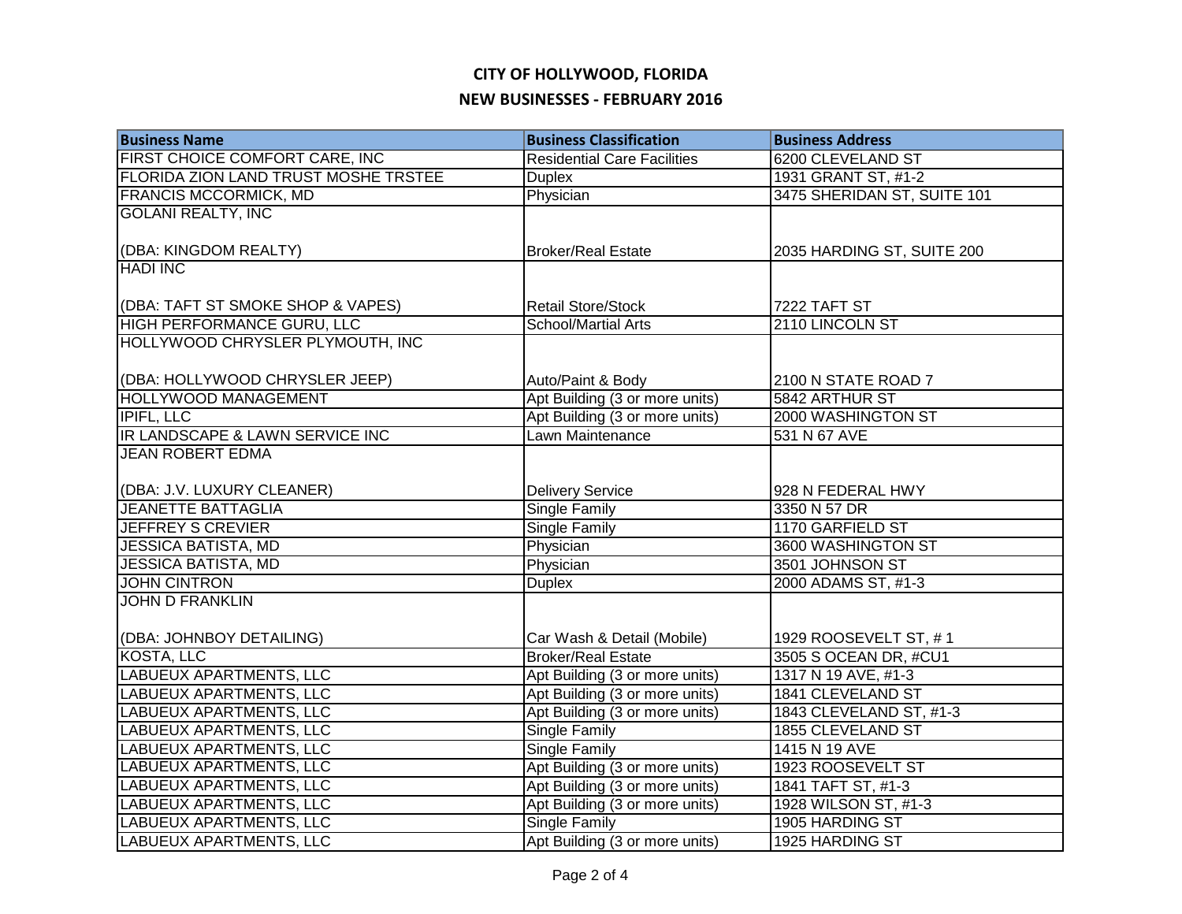| <b>Business Name</b>                        | <b>Business Classification</b>     | <b>Business Address</b>     |
|---------------------------------------------|------------------------------------|-----------------------------|
| <b>FIRST CHOICE COMFORT CARE, INC</b>       | <b>Residential Care Facilities</b> | 6200 CLEVELAND ST           |
| <b>FLORIDA ZION LAND TRUST MOSHE TRSTEE</b> | <b>Duplex</b>                      | 1931 GRANT ST, #1-2         |
| <b>FRANCIS MCCORMICK, MD</b>                | Physician                          | 3475 SHERIDAN ST, SUITE 101 |
| <b>GOLANI REALTY, INC</b>                   |                                    |                             |
|                                             |                                    |                             |
| (DBA: KINGDOM REALTY)                       | <b>Broker/Real Estate</b>          | 2035 HARDING ST, SUITE 200  |
| <b>HADI INC</b>                             |                                    |                             |
|                                             |                                    |                             |
| (DBA: TAFT ST SMOKE SHOP & VAPES)           | <b>Retail Store/Stock</b>          | 7222 TAFT ST                |
| HIGH PERFORMANCE GURU, LLC                  | <b>School/Martial Arts</b>         | 2110 LINCOLN ST             |
| HOLLYWOOD CHRYSLER PLYMOUTH, INC            |                                    |                             |
|                                             |                                    |                             |
| (DBA: HOLLYWOOD CHRYSLER JEEP)              | Auto/Paint & Body                  | 2100 N STATE ROAD 7         |
| <b>HOLLYWOOD MANAGEMENT</b>                 | Apt Building (3 or more units)     | 5842 ARTHUR ST              |
| <b>IPIFL, LLC</b>                           | Apt Building (3 or more units)     | 2000 WASHINGTON ST          |
| IR LANDSCAPE & LAWN SERVICE INC             | Lawn Maintenance                   | 531 N 67 AVE                |
| <b>JEAN ROBERT EDMA</b>                     |                                    |                             |
|                                             |                                    |                             |
| (DBA: J.V. LUXURY CLEANER)                  | <b>Delivery Service</b>            | 928 N FEDERAL HWY           |
| <b>JEANETTE BATTAGLIA</b>                   | <b>Single Family</b>               | 3350 N 57 DR                |
| <b>JEFFREY S CREVIER</b>                    | <b>Single Family</b>               | 1170 GARFIELD ST            |
| <b>JESSICA BATISTA, MD</b>                  | Physician                          | 3600 WASHINGTON ST          |
| <b>JESSICA BATISTA, MD</b>                  | Physician                          | 3501 JOHNSON ST             |
| <b>JOHN CINTRON</b>                         | <b>Duplex</b>                      | 2000 ADAMS ST, #1-3         |
| <b>JOHN D FRANKLIN</b>                      |                                    |                             |
|                                             |                                    |                             |
| (DBA: JOHNBOY DETAILING)                    | Car Wash & Detail (Mobile)         | 1929 ROOSEVELT ST, #1       |
| <b>KOSTA, LLC</b>                           | <b>Broker/Real Estate</b>          | 3505 S OCEAN DR, #CU1       |
| <b>LABUEUX APARTMENTS, LLC</b>              | Apt Building (3 or more units)     | 1317 N 19 AVE, #1-3         |
| <b>LABUEUX APARTMENTS, LLC</b>              | Apt Building (3 or more units)     | 1841 CLEVELAND ST           |
| <b>LABUEUX APARTMENTS, LLC</b>              | Apt Building (3 or more units)     | 1843 CLEVELAND ST, #1-3     |
| <b>LABUEUX APARTMENTS, LLC</b>              | Single Family                      | 1855 CLEVELAND ST           |
| LABUEUX APARTMENTS, LLC                     | Single Family                      | 1415 N 19 AVE               |
| LABUEUX APARTMENTS, LLC                     | Apt Building (3 or more units)     | 1923 ROOSEVELT ST           |
| LABUEUX APARTMENTS, LLC                     | Apt Building (3 or more units)     | 1841 TAFT ST, #1-3          |
| LABUEUX APARTMENTS, LLC                     | Apt Building (3 or more units)     | 1928 WILSON ST, #1-3        |
| LABUEUX APARTMENTS, LLC                     | Single Family                      | 1905 HARDING ST             |
| <b>LABUEUX APARTMENTS, LLC</b>              | Apt Building (3 or more units)     | 1925 HARDING ST             |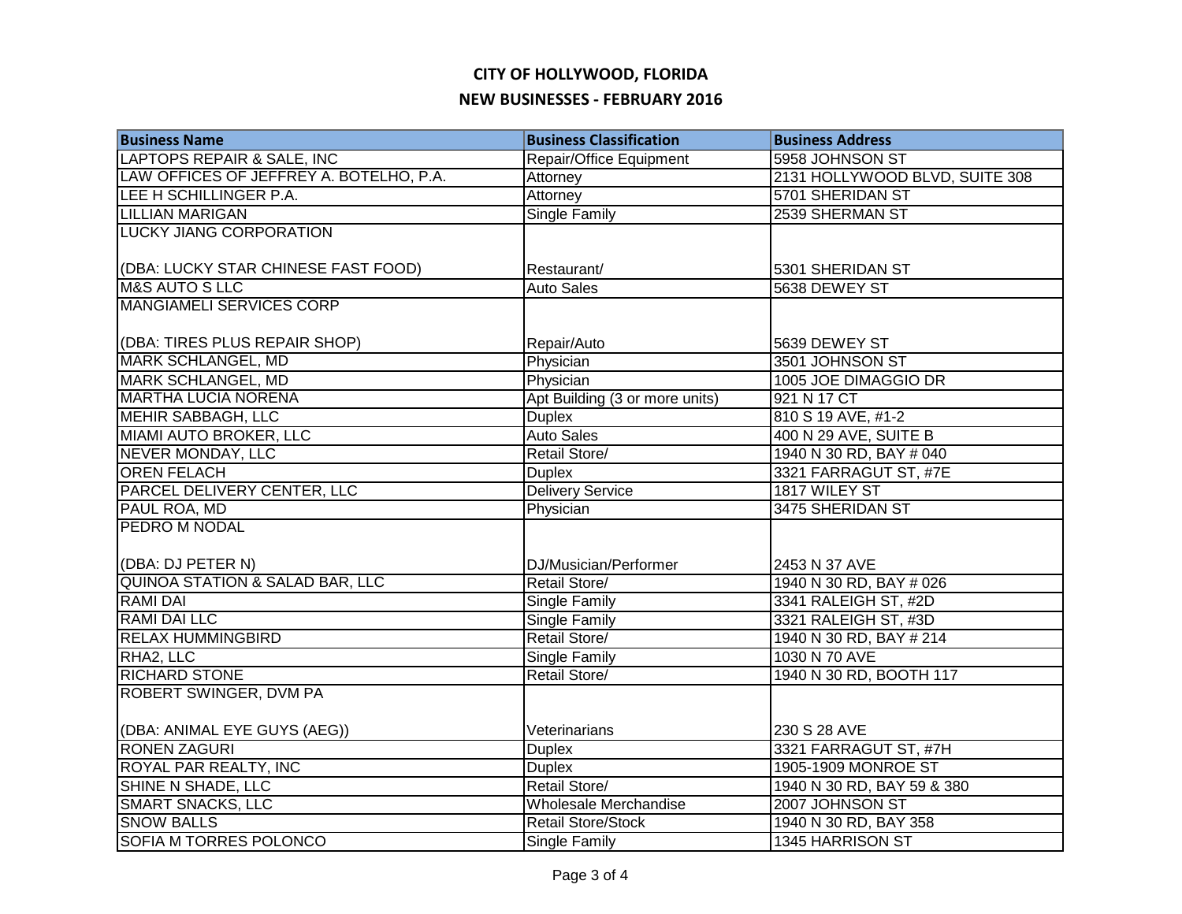| <b>Business Name</b>                       | <b>Business Classification</b> | <b>Business Address</b>        |
|--------------------------------------------|--------------------------------|--------------------------------|
| LAPTOPS REPAIR & SALE, INC                 | Repair/Office Equipment        | 5958 JOHNSON ST                |
| LAW OFFICES OF JEFFREY A. BOTELHO, P.A.    | Attorney                       | 2131 HOLLYWOOD BLVD, SUITE 308 |
| LEE H SCHILLINGER P.A.                     | Attorney                       | 5701 SHERIDAN ST               |
| <b>LILLIAN MARIGAN</b>                     | <b>Single Family</b>           | 2539 SHERMAN ST                |
| <b>LUCKY JIANG CORPORATION</b>             |                                |                                |
|                                            |                                |                                |
| (DBA: LUCKY STAR CHINESE FAST FOOD)        | Restaurant/                    | 5301 SHERIDAN ST               |
| <b>M&amp;S AUTO S LLC</b>                  | <b>Auto Sales</b>              | 5638 DEWEY ST                  |
| <b>MANGIAMELI SERVICES CORP</b>            |                                |                                |
|                                            |                                |                                |
| (DBA: TIRES PLUS REPAIR SHOP)              | Repair/Auto                    | 5639 DEWEY ST                  |
| <b>MARK SCHLANGEL, MD</b>                  | Physician                      | 3501 JOHNSON ST                |
| MARK SCHLANGEL, MD                         | Physician                      | 1005 JOE DIMAGGIO DR           |
| <b>MARTHA LUCIA NORENA</b>                 | Apt Building (3 or more units) | 921 N 17 CT                    |
| <b>MEHIR SABBAGH, LLC</b>                  | <b>Duplex</b>                  | 810 S 19 AVE, #1-2             |
| MIAMI AUTO BROKER, LLC                     | <b>Auto Sales</b>              | 400 N 29 AVE, SUITE B          |
| <b>NEVER MONDAY, LLC</b>                   | Retail Store/                  | 1940 N 30 RD, BAY # 040        |
| <b>OREN FELACH</b>                         | <b>Duplex</b>                  | 3321 FARRAGUT ST, #7E          |
| <b>PARCEL DELIVERY CENTER, LLC</b>         | <b>Delivery Service</b>        | 1817 WILEY ST                  |
| PAUL ROA, MD                               | Physician                      | 3475 SHERIDAN ST               |
| <b>PEDRO M NODAL</b>                       |                                |                                |
|                                            |                                |                                |
| (DBA: DJ PETER N)                          | DJ/Musician/Performer          | 2453 N 37 AVE                  |
| <b>QUINOA STATION &amp; SALAD BAR, LLC</b> | Retail Store/                  | 1940 N 30 RD, BAY # 026        |
| <b>RAMI DAI</b>                            | <b>Single Family</b>           | 3341 RALEIGH ST, #2D           |
| <b>RAMI DAI LLC</b>                        | <b>Single Family</b>           | 3321 RALEIGH ST, #3D           |
| <b>RELAX HUMMINGBIRD</b>                   | Retail Store/                  | 1940 N 30 RD, BAY # 214        |
| RHA2, LLC                                  | <b>Single Family</b>           | 1030 N 70 AVE                  |
| <b>RICHARD STONE</b>                       | Retail Store/                  | 1940 N 30 RD, BOOTH 117        |
| <b>ROBERT SWINGER, DVM PA</b>              |                                |                                |
|                                            |                                |                                |
| (DBA: ANIMAL EYE GUYS (AEG))               | Veterinarians                  | 230 S 28 AVE                   |
| <b>RONEN ZAGURI</b>                        | <b>Duplex</b>                  | 3321 FARRAGUT ST, #7H          |
| ROYAL PAR REALTY, INC                      | <b>Duplex</b>                  | 1905-1909 MONROE ST            |
| SHINE N SHADE, LLC                         | Retail Store/                  | 1940 N 30 RD, BAY 59 & 380     |
| <b>SMART SNACKS, LLC</b>                   | Wholesale Merchandise          | 2007 JOHNSON ST                |
| <b>SNOW BALLS</b>                          | <b>Retail Store/Stock</b>      | 1940 N 30 RD, BAY 358          |
| SOFIA M TORRES POLONCO                     | Single Family                  | 1345 HARRISON ST               |